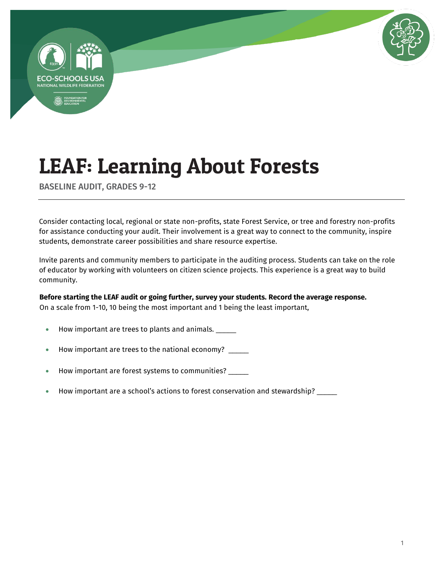



BASELINE AUDIT, GRADES 9-12

Consider contacting local, regional or state non-profits, state Forest Service, or tree and forestry non-profits for assistance conducting your audit. Their involvement is a great way to connect to the community, inspire students, demonstrate career possibilities and share resource expertise.

Invite parents and community members to participate in the auditing process. Students can take on the role of educator by working with volunteers on citizen science projects. This experience is a great way to build community.

#### **Before starting the LEAF audit or going further, survey your students. Record the average response.** On a scale from 1-10, 10 being the most important and 1 being the least important,

- How important are trees to plants and animals.
- How important are trees to the national economy? \_\_\_\_\_
- How important are forest systems to communities? \_\_\_\_\_
- How important are a school's actions to forest conservation and stewardship? \_\_\_\_\_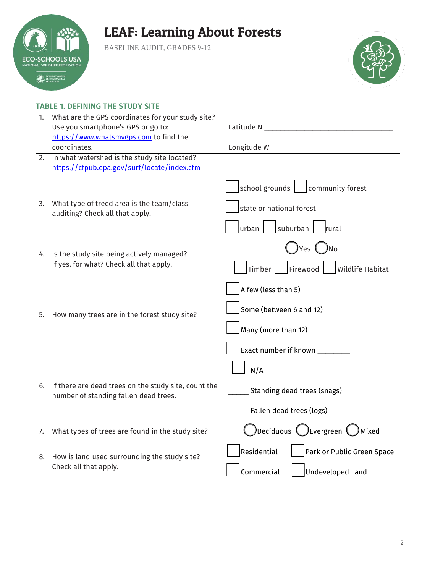

BASELINE AUDIT, GRADES 9-12



### TABLE 1. DEFINING THE STUDY SITE

| 1. | What are the GPS coordinates for your study site?<br>Use you smartphone's GPS or go to:       |                                                                                    |
|----|-----------------------------------------------------------------------------------------------|------------------------------------------------------------------------------------|
|    | https://www.whatsmygps.com to find the                                                        |                                                                                    |
|    | coordinates.                                                                                  |                                                                                    |
| 2. | In what watershed is the study site located?                                                  |                                                                                    |
|    | https://cfpub.epa.gov/surf/locate/index.cfm                                                   |                                                                                    |
| 3. | What type of treed area is the team/class                                                     | school grounds   community forest<br>state or national forest                      |
|    | auditing? Check all that apply.                                                               | suburban<br>urban<br>rural                                                         |
| 4. | Is the study site being actively managed?                                                     | yes ( )No                                                                          |
|    | If yes, for what? Check all that apply.                                                       | Firewood<br><b>Wildlife Habitat</b><br>Timber                                      |
| 5. | How many trees are in the forest study site?                                                  | A few (less than 5)<br>Some (between 6 and 12)                                     |
|    |                                                                                               | Many (more than 12)                                                                |
|    |                                                                                               | Exact number if known                                                              |
|    |                                                                                               | N/A                                                                                |
| 6. | If there are dead trees on the study site, count the<br>number of standing fallen dead trees. | Standing dead trees (snags)                                                        |
|    |                                                                                               | Fallen dead trees (logs)                                                           |
| 7. | What types of trees are found in the study site?                                              | )Deciduous $\bigcup$<br>)Evergreen <b>(</b><br>Mixed                               |
| 8. | How is land used surrounding the study site?<br>Check all that apply.                         | Residential<br>Park or Public Green Space<br>Commercial<br><b>Undeveloped Land</b> |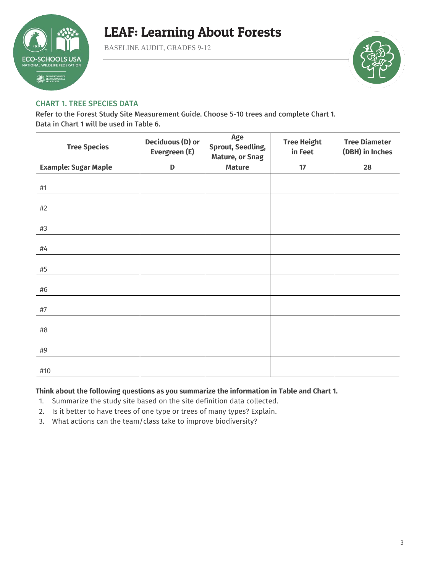

BASELINE AUDIT, GRADES 9-12



#### CHART 1. TREE SPECIES DATA

Refer to the Forest Study Site Measurement Guide. Choose 5-10 trees and complete Chart 1. Data in Chart 1 will be used in Table 6.

| <b>Tree Species</b>         | <b>Deciduous (D) or</b><br>Evergreen (E) | Age<br><b>Sprout, Seedling,</b><br><b>Mature, or Snag</b> | <b>Tree Height</b><br>in Feet | <b>Tree Diameter</b><br>(DBH) in Inches |
|-----------------------------|------------------------------------------|-----------------------------------------------------------|-------------------------------|-----------------------------------------|
| <b>Example: Sugar Maple</b> | $\mathbf D$                              | <b>Mature</b>                                             | 17                            | 28                                      |
| #1                          |                                          |                                                           |                               |                                         |
| #2                          |                                          |                                                           |                               |                                         |
| #3                          |                                          |                                                           |                               |                                         |
| #4                          |                                          |                                                           |                               |                                         |
| #5                          |                                          |                                                           |                               |                                         |
| #6                          |                                          |                                                           |                               |                                         |
| #7                          |                                          |                                                           |                               |                                         |
| #8                          |                                          |                                                           |                               |                                         |
| #9                          |                                          |                                                           |                               |                                         |
| #10                         |                                          |                                                           |                               |                                         |

#### **Think about the following questions as you summarize the information in Table and Chart 1.**

- 1. Summarize the study site based on the site definition data collected.
- 2. Is it better to have trees of one type or trees of many types? Explain.
- 3. What actions can the team/class take to improve biodiversity?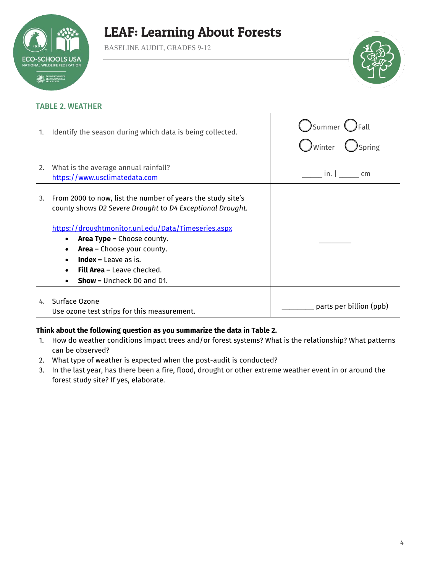

BASELINE AUDIT, GRADES 9-12



#### TABLE 2. WEATHER

| 1. | Identify the season during which data is being collected.                                                                                                                                                                                                                                                                     | ) Summer<br>Spring<br>Winter |
|----|-------------------------------------------------------------------------------------------------------------------------------------------------------------------------------------------------------------------------------------------------------------------------------------------------------------------------------|------------------------------|
| 2. | What is the average annual rainfall?<br>https://www.usclimatedata.com                                                                                                                                                                                                                                                         | in.<br>cm                    |
| 3. | From 2000 to now, list the number of years the study site's<br>county shows D2 Severe Drought to D4 Exceptional Drought.<br>https://droughtmonitor.unl.edu/Data/Timeseries.aspx<br><b>Area Type - Choose county.</b><br><b>Area -</b> Choose your county.<br><b>Index</b> – Leave as is.<br><b>Fill Area - Leave checked.</b> |                              |
|    | <b>Show - Uncheck DO and D1.</b>                                                                                                                                                                                                                                                                                              |                              |
| 4. | Surface Ozone<br>Use ozone test strips for this measurement.                                                                                                                                                                                                                                                                  | parts per billion (ppb)      |

#### **Think about the following question as you summarize the data in Table 2.**

- 1. How do weather conditions impact trees and/or forest systems? What is the relationship? What patterns can be observed?
- 2. What type of weather is expected when the post-audit is conducted?
- 3. In the last year, has there been a fire, flood, drought or other extreme weather event in or around the forest study site? If yes, elaborate.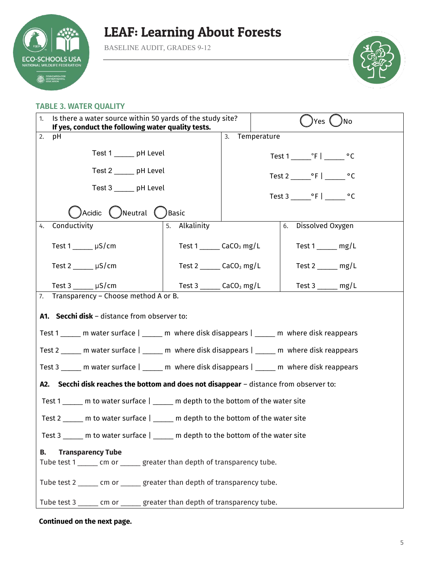

BASELINE AUDIT, GRADES 9-12



#### TABLE 3. WATER QUALITY

| Is there a water source within 50 yards of the study site?<br>1.<br>If yes, conduct the following water quality tests. |                                         | Yes l<br>)No   |                                  |  |  |
|------------------------------------------------------------------------------------------------------------------------|-----------------------------------------|----------------|----------------------------------|--|--|
| 2.<br>рH                                                                                                               |                                         | 3. Temperature |                                  |  |  |
| Test 1 ______ pH Level                                                                                                 |                                         |                | Test 1 $\degree$ F   $\degree$ C |  |  |
| Test 2 ______ pH Level                                                                                                 |                                         |                |                                  |  |  |
| Test 3 _____ pH Level                                                                                                  |                                         |                |                                  |  |  |
| )Acidic $\bigcirc$ Neutral $\bigcirc$                                                                                  | )Basic                                  |                |                                  |  |  |
| Conductivity<br>4.                                                                                                     | 5. Alkalinity                           |                | Dissolved Oxygen<br>6.           |  |  |
| Test $1 \_\_\_\$ µS/cm                                                                                                 | Test $1$ _______ CaCO <sub>3</sub> mg/L |                | Test $1 \_\_\_$ mg/L             |  |  |
| Test $2 \mu S/cm$                                                                                                      | Test $2$ CaCO <sub>3</sub> mg/L         |                | Test $2 \qquad mg/L$             |  |  |
| Test $3 \mu S/cm$                                                                                                      | Test 3 _______ CaCO <sub>3</sub> mg/L   |                | Test $3 \_\_\_\_\_\_\$ mg/L      |  |  |
| 7. Transparency - Choose method A or B.                                                                                |                                         |                |                                  |  |  |
| A1. Secchi disk - distance from observer to:                                                                           |                                         |                |                                  |  |  |
| Test 1 _____ m water surface   _____ m where disk disappears   _____ m where disk reappears                            |                                         |                |                                  |  |  |
| Test 2 ______ m water surface   _____ m where disk disappears   ______ m where disk reappears                          |                                         |                |                                  |  |  |
| Test 3 ______ m water surface   ______ m where disk disappears   ______ m where disk reappears                         |                                         |                |                                  |  |  |
| A2. Secchi disk reaches the bottom and does not disappear - distance from observer to:                                 |                                         |                |                                  |  |  |
| Test 1 ______ m to water surface   _____ m depth to the bottom of the water site                                       |                                         |                |                                  |  |  |
| Test 2 _____ m to water surface   _____ m depth to the bottom of the water site                                        |                                         |                |                                  |  |  |
| Test 3 _____ m to water surface   _____ m depth to the bottom of the water site                                        |                                         |                |                                  |  |  |
| <b>Transparency Tube</b><br>В.                                                                                         |                                         |                |                                  |  |  |
| Tube test 1 ______ cm or ______ greater than depth of transparency tube.                                               |                                         |                |                                  |  |  |
| Tube test 2 ______ cm or _____ greater than depth of transparency tube.                                                |                                         |                |                                  |  |  |
| Tube test 3 _____ cm or _____ greater than depth of transparency tube.                                                 |                                         |                |                                  |  |  |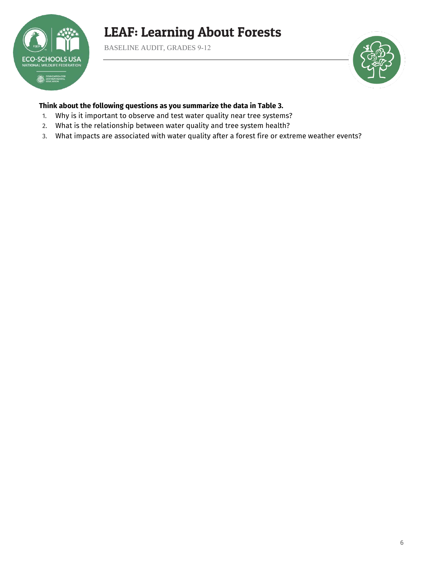### LEAF: Learning About Forests BASELINE AUDIT, GRADES 9-12 **ECO-SCHOOLS USA** NATIONAL WILDLIFE FEDERATION

**EDUNDATION FOR** 



### **Think about the following questions as you summarize the data in Table 3.**

- 1. Why is it important to observe and test water quality near tree systems?
- 2. What is the relationship between water quality and tree system health?
- 3. What impacts are associated with water quality after a forest fire or extreme weather events?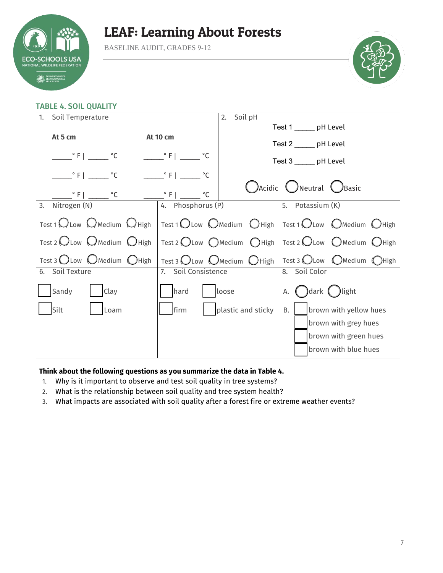

BASELINE AUDIT, GRADES 9-12



### TABLE 4. SOIL QUALITY

| 1.<br>Soil Temperature                                  |                                | Soil pH<br>2.                                                                                                      |                                                                                                                         |  |
|---------------------------------------------------------|--------------------------------|--------------------------------------------------------------------------------------------------------------------|-------------------------------------------------------------------------------------------------------------------------|--|
|                                                         |                                | Test 1 ______ pH Level                                                                                             |                                                                                                                         |  |
| At 5 cm                                                 | <b>At 10 cm</b>                | Test 2 ______ pH Level                                                                                             |                                                                                                                         |  |
| $\frac{\ }{}$ $\mathsf{F}$   $\frac{\ }{}$ $\mathsf{C}$ | $\circ$ F  <br>°C              |                                                                                                                    |                                                                                                                         |  |
|                                                         |                                |                                                                                                                    | Test 3 _____ pH Level                                                                                                   |  |
| $\circ$ F   $\circ$ C                                   | $^{\circ}$ F  <br>$^{\circ}$ C |                                                                                                                    |                                                                                                                         |  |
| $\degree$ F   $\degree$ C                               | $^{\circ}$ F  <br>$^{\circ}$ C |                                                                                                                    | ( ) Acidic ( ) Neutral ( ) Basic                                                                                        |  |
| Nitrogen (N)<br>3.                                      | 4. Phosphorus (P)              |                                                                                                                    | 5. Potassium (K)                                                                                                        |  |
| Test 1 $\bigcirc$ Low $\bigcirc$ Medium $\bigcirc$ High |                                |                                                                                                                    | Test 1 $\bigcirc$ Low $\bigcirc$ Medium $\bigcirc$ High $\big $ Test 1 $\bigcirc$ Low $\bigcirc$ Medium $\bigcirc$ High |  |
| Test 2 $\bigcup$ Low $\bigcup$ Medium $\bigcup$ High    |                                |                                                                                                                    | Test 2 OLow OMedium OHigh   Test 2 OLow OMedium OHigh                                                                   |  |
| Test 3 OLow OMedium OHigh                               |                                | Test 3 $\bigcirc$ Low $\bigcirc$ Medium $\bigcirc$ High<br>Test 3 $\bigcirc$ Low $\bigcirc$ Medium $\bigcirc$ High |                                                                                                                         |  |
| 6. Soil Texture                                         | 7. Soil Consistence            |                                                                                                                    | 8. Soil Color                                                                                                           |  |
| Sandy<br>Clay                                           | hard                           | loose                                                                                                              | ( )dark ( ) light<br>А.                                                                                                 |  |
| Silt<br>Loam                                            | firm                           | plastic and sticky                                                                                                 | brown with yellow hues<br>B.                                                                                            |  |
|                                                         |                                |                                                                                                                    | brown with grey hues                                                                                                    |  |
|                                                         |                                |                                                                                                                    | brown with green hues                                                                                                   |  |
|                                                         |                                |                                                                                                                    | brown with blue hues                                                                                                    |  |

#### **Think about the following questions as you summarize the data in Table 4.**

- 1. Why is it important to observe and test soil quality in tree systems?
- 2. What is the relationship between soil quality and tree system health?
- 3. What impacts are associated with soil quality after a forest fire or extreme weather events?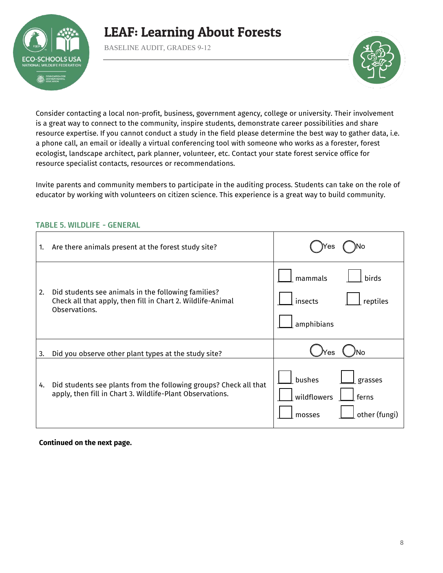

BASELINE AUDIT, GRADES 9-12



Consider contacting a local non-profit, business, government agency, college or university. Their involvement is a great way to connect to the community, inspire students, demonstrate career possibilities and share resource expertise. If you cannot conduct a study in the field please determine the best way to gather data, i.e. a phone call, an email or ideally a virtual conferencing tool with someone who works as a forester, forest ecologist, landscape architect, park planner, volunteer, etc. Contact your state forest service office for resource specialist contacts, resources or recommendations.

Invite parents and community members to participate in the auditing process. Students can take on the role of educator by working with volunteers on citizen science. This experience is a great way to build community.

| 1. | Are there animals present at the forest study site?                                                                                 |                                                                      |
|----|-------------------------------------------------------------------------------------------------------------------------------------|----------------------------------------------------------------------|
| 2. | Did students see animals in the following families?<br>Check all that apply, then fill in Chart 2. Wildlife-Animal<br>Observations. | mammals<br>birds<br>insects<br>reptiles<br>amphibians                |
| 3. | Did you observe other plant types at the study site?                                                                                | No<br>'es                                                            |
| 4. | Did students see plants from the following groups? Check all that<br>apply, then fill in Chart 3. Wildlife-Plant Observations.      | bushes<br>grasses<br>wildflowers<br>ferns<br>other (fungi)<br>mosses |

#### TABLE 5. WILDLIFE - GENERAL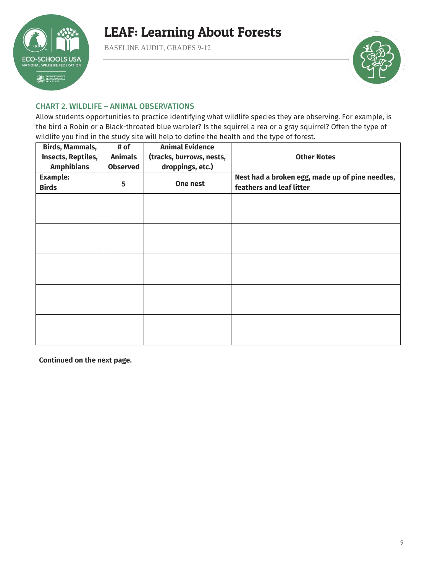

BASELINE AUDIT, GRADES 9-12



#### CHART 2. WILDLIFE – ANIMAL OBSERVATIONS

Allow students opportunities to practice identifying what wildlife species they are observing. For example, is the bird a Robin or a Black-throated blue warbler? Is the squirrel a rea or a gray squirrel? Often the type of wildlife you find in the study site will help to define the health and the type of forest.

| <b>Birds, Mammals,</b><br>Insects, Reptiles,<br><b>Amphibians</b> | # of<br><b>Animals</b><br><b>Observed</b> | <b>Animal Evidence</b><br>(tracks, burrows, nests,<br>droppings, etc.) | <b>Other Notes</b>                                                          |
|-------------------------------------------------------------------|-------------------------------------------|------------------------------------------------------------------------|-----------------------------------------------------------------------------|
| <b>Example:</b><br><b>Birds</b>                                   | 5                                         | One nest                                                               | Nest had a broken egg, made up of pine needles,<br>feathers and leaf litter |
|                                                                   |                                           |                                                                        |                                                                             |
|                                                                   |                                           |                                                                        |                                                                             |
|                                                                   |                                           |                                                                        |                                                                             |
|                                                                   |                                           |                                                                        |                                                                             |
|                                                                   |                                           |                                                                        |                                                                             |
|                                                                   |                                           |                                                                        |                                                                             |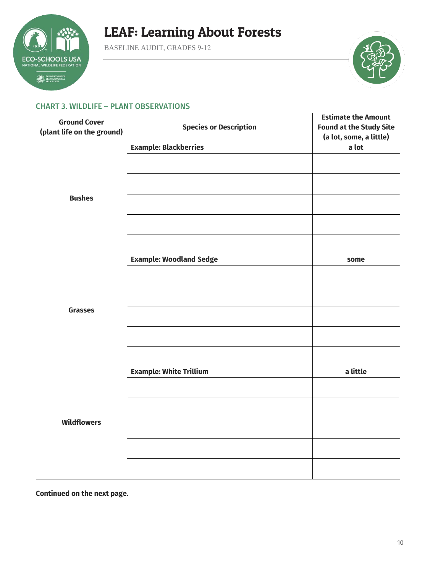

BASELINE AUDIT, GRADES 9-12



#### CHART 3. WILDLIFE – PLANT OBSERVATIONS

| <b>Ground Cover</b>        |                                | <b>Estimate the Amount</b>     |
|----------------------------|--------------------------------|--------------------------------|
| (plant life on the ground) | <b>Species or Description</b>  | <b>Found at the Study Site</b> |
|                            |                                | (a lot, some, a little)        |
|                            | <b>Example: Blackberries</b>   | a lot                          |
|                            |                                |                                |
|                            |                                |                                |
| <b>Bushes</b>              |                                |                                |
|                            |                                |                                |
|                            |                                |                                |
|                            | <b>Example: Woodland Sedge</b> | some                           |
|                            |                                |                                |
|                            |                                |                                |
| <b>Grasses</b>             |                                |                                |
|                            |                                |                                |
|                            |                                |                                |
|                            | <b>Example: White Trillium</b> | a little                       |
|                            |                                |                                |
|                            |                                |                                |
| <b>Wildflowers</b>         |                                |                                |
|                            |                                |                                |
|                            |                                |                                |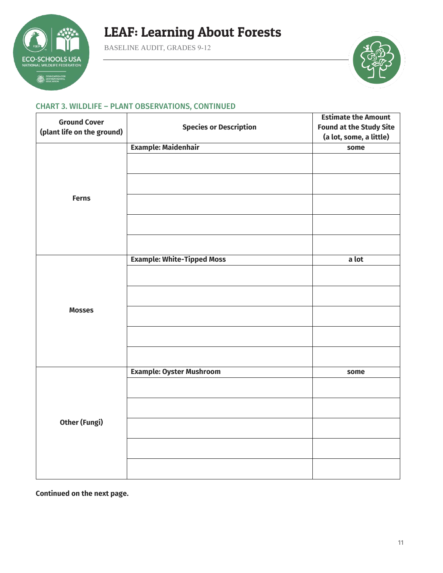

BASELINE AUDIT, GRADES 9-12



### CHART 3. WILDLIFE – PLANT OBSERVATIONS, CONTINUED

| <b>Ground Cover</b>        |                                   | <b>Estimate the Amount</b>     |
|----------------------------|-----------------------------------|--------------------------------|
| (plant life on the ground) | <b>Species or Description</b>     | <b>Found at the Study Site</b> |
|                            |                                   | (a lot, some, a little)        |
|                            | <b>Example: Maidenhair</b>        | some                           |
|                            |                                   |                                |
|                            |                                   |                                |
| <b>Ferns</b>               |                                   |                                |
|                            |                                   |                                |
|                            |                                   |                                |
|                            | <b>Example: White-Tipped Moss</b> | a lot                          |
|                            |                                   |                                |
|                            |                                   |                                |
| <b>Mosses</b>              |                                   |                                |
|                            |                                   |                                |
|                            |                                   |                                |
|                            | <b>Example: Oyster Mushroom</b>   | some                           |
|                            |                                   |                                |
|                            |                                   |                                |
| <b>Other (Fungi)</b>       |                                   |                                |
|                            |                                   |                                |
|                            |                                   |                                |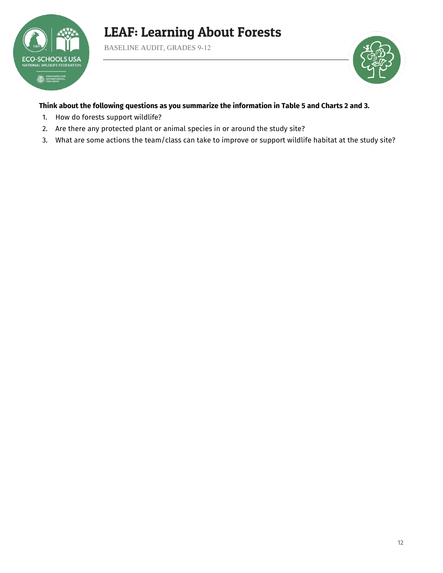# **ECO-SCHOOLS USA** NATIONAL WILDLIFE FEDERATION **B** FOUNDATION FOR

### LEAF: Learning About Forests

BASELINE AUDIT, GRADES 9-12



### **Think about the following questions as you summarize the information in Table 5 and Charts 2 and 3.**

- 1. How do forests support wildlife?
- 2. Are there any protected plant or animal species in or around the study site?
- 3. What are some actions the team/class can take to improve or support wildlife habitat at the study site?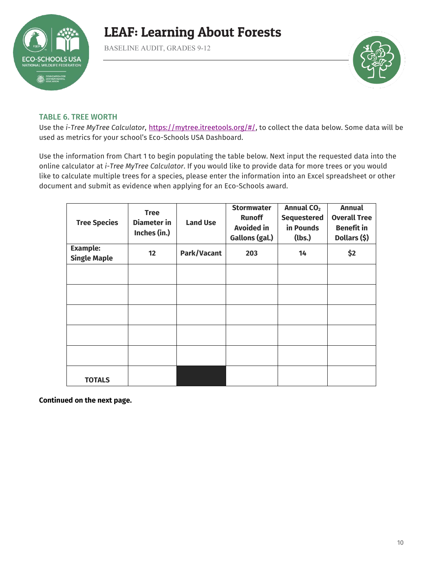

BASELINE AUDIT, GRADES 9-12



#### TABLE 6. TREE WORTH

Use the *i-Tree MyTree Calculator*, [https://mytree.itreetools.org/#/,](https://mytree.itreetools.org/#/) to collect the data below. Some data will be used as metrics for your school's Eco-Schools USA Dashboard.

Use the information from Chart 1 to begin populating the table below. Next input the requested data into the online calculator at *i-Tree MyTree Calculator*. If you would like to provide data for more trees or you would like to calculate multiple trees for a species, please enter the information into an Excel spreadsheet or other document and submit as evidence when applying for an Eco-Schools award.

| <b>Tree Species</b>                    | <b>Tree</b><br><b>Diameter</b> in<br>Inches (in.) | <b>Land Use</b> | <b>Stormwater</b><br><b>Runoff</b><br><b>Avoided in</b><br>Gallons (gal.) | Annual CO <sub>2</sub><br><b>Sequestered</b><br>in Pounds<br>(lbs.) | <b>Annual</b><br><b>Overall Tree</b><br><b>Benefit in</b><br>Dollars (\$) |
|----------------------------------------|---------------------------------------------------|-----------------|---------------------------------------------------------------------------|---------------------------------------------------------------------|---------------------------------------------------------------------------|
| <b>Example:</b><br><b>Single Maple</b> | 12                                                | Park/Vacant     | 203                                                                       | 14                                                                  | \$2                                                                       |
|                                        |                                                   |                 |                                                                           |                                                                     |                                                                           |
|                                        |                                                   |                 |                                                                           |                                                                     |                                                                           |
|                                        |                                                   |                 |                                                                           |                                                                     |                                                                           |
|                                        |                                                   |                 |                                                                           |                                                                     |                                                                           |
|                                        |                                                   |                 |                                                                           |                                                                     |                                                                           |
| <b>TOTALS</b>                          |                                                   |                 |                                                                           |                                                                     |                                                                           |